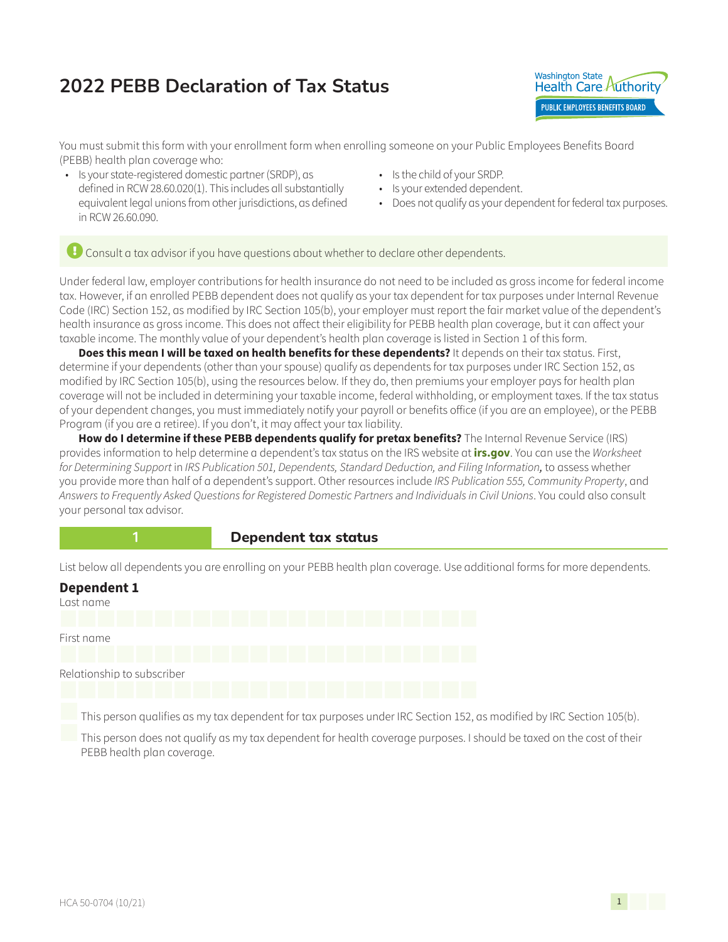## **2022 PEBB Declaration of Tax Status**



You must submit this form with your enrollment form when enrolling someone on your Public Employees Benefits Board (PEBB) health plan coverage who:

- Is your state-registered domestic partner (SRDP), as defined in RCW 28.60.020(1). This includes all substantially equivalent legal unions from other jurisdictions, as defined in RCW 26.60.090.
- Is the child of your SRDP.
- Is your extended dependent.
- Does not qualify as your dependent for federal tax purposes.

 $\overline{c}$  Consult a tax advisor if you have questions about whether to declare other dependents.

Under federal law, employer contributions for health insurance do not need to be included as gross income for federal income tax. However, if an enrolled PEBB dependent does not qualify as your tax dependent for tax purposes under Internal Revenue Code (IRC) Section 152, as modified by IRC Section 105(b), your employer must report the fair market value of the dependent's health insurance as gross income. This does not affect their eligibility for PEBB health plan coverage, but it can affect your taxable income. The monthly value of your dependent's health plan coverage is listed in Section 1 of this form.

**Does this mean I will be taxed on health benefits for these dependents?** It depends on their tax status. First, determine if your dependents (other than your spouse) qualify as dependents for tax purposes under IRC Section 152, as modified by IRC Section 105(b), using the resources below. If they do, then premiums your employer pays for health plan coverage will not be included in determining your taxable income, federal withholding, or employment taxes. If the tax status of your dependent changes, you must immediately notify your payroll or benefits office (if you are an employee), or the PEBB Program (if you are a retiree). If you don't, it may affect your tax liability.

How do I determine if these PEBB dependents qualify for pretax benefits? The Internal Revenue Service (IRS) provides information to help determine a dependent's tax status [on the IRS website at](http://irs.gov) **irs.gov**. You can use the *Worksheet for Determining Support* in *IRS Publication 501, Dependents, Standard Deduction, and Filing Information,* to assess whether you provide more than half of a dependent's support. Other resources include *IRS Publication 555, Community Property*, and *Answers to Frequently Asked Questions for Registered Domestic Partners and Individuals in Civil Unions*. You could also consult your personal tax advisor.



#### **1 Dependent tax status**

List below all dependents you are enrolling on your PEBB health plan coverage. Use additional forms for more dependents.

## **Dependent 1** Last name

First name Relationship to subscriber

This person qualifies as my tax dependent for tax purposes under IRC Section 152, as modified by IRC Section 105(b).

 This person does not qualify as my tax dependent for health coverage purposes. I should be taxed on the cost of their PEBB health plan coverage.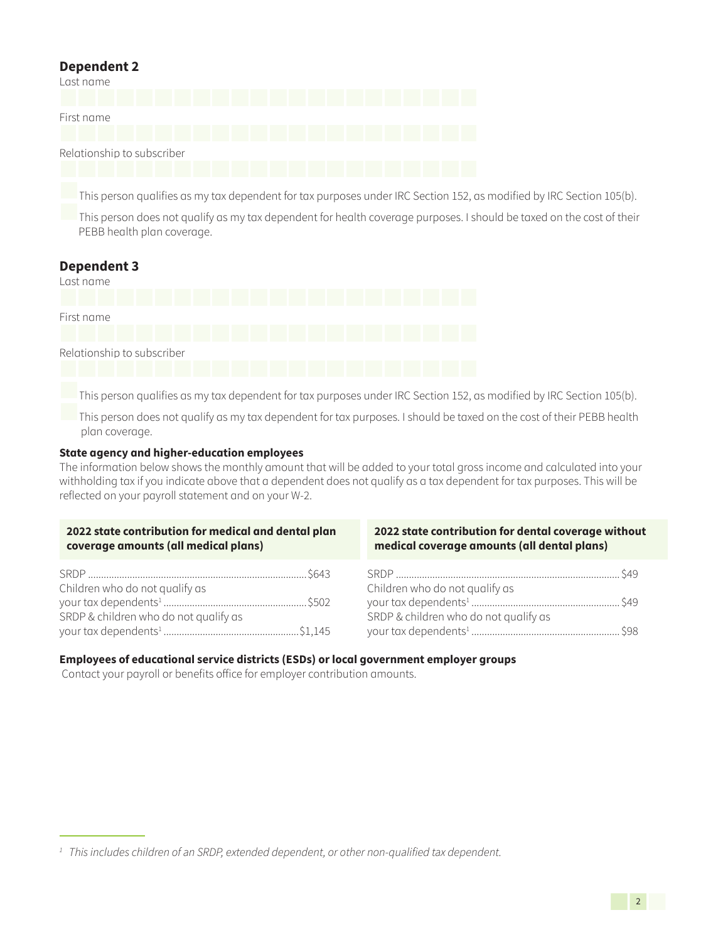### **Dependent 2**

| Last name                  |  |  |  |  |
|----------------------------|--|--|--|--|
| First name                 |  |  |  |  |
| Relationship to subscriber |  |  |  |  |

This person qualifies as my tax dependent for tax purposes under IRC Section 152, as modified by IRC Section 105(b).

This person does not qualify as my tax dependent for health coverage purposes. I should be taxed on the cost of their PEBB health plan coverage.

# **Dependent 3** Last name First name Relationship to subscriber

This person qualifies as my tax dependent for tax purposes under IRC Section 152, as modified by IRC Section 105(b).

This person does not qualify as my tax dependent for tax purposes. I should be taxed on the cost of their PEBB health plan coverage.

### **State agency and higher-education employees**

The information below shows the monthly amount that will be added to your total gross income and calculated into your withholding tax if you indicate above that a dependent does not qualify as a tax dependent for tax purposes. This will be reflected on your payroll statement and on your W-2.

| 2022 state contribution for medical and dental plan | 2022 state contribution for dental coverage without |
|-----------------------------------------------------|-----------------------------------------------------|
| coverage amounts (all medical plans)                | medical coverage amounts (all dental plans)         |
|                                                     |                                                     |
| Children who do not qualify as                      | Children who do not qualify as                      |
|                                                     |                                                     |
| SRDP & children who do not qualify as               | SRDP & children who do not qualify as               |
|                                                     |                                                     |

### **Employees of educational service districts (ESDs) or local government employer groups**

Contact your payroll or benefits office for employer contribution amounts.

*<sup>1</sup> This includes children of an SRDP, extended dependent, or other non-qualified tax dependent.*